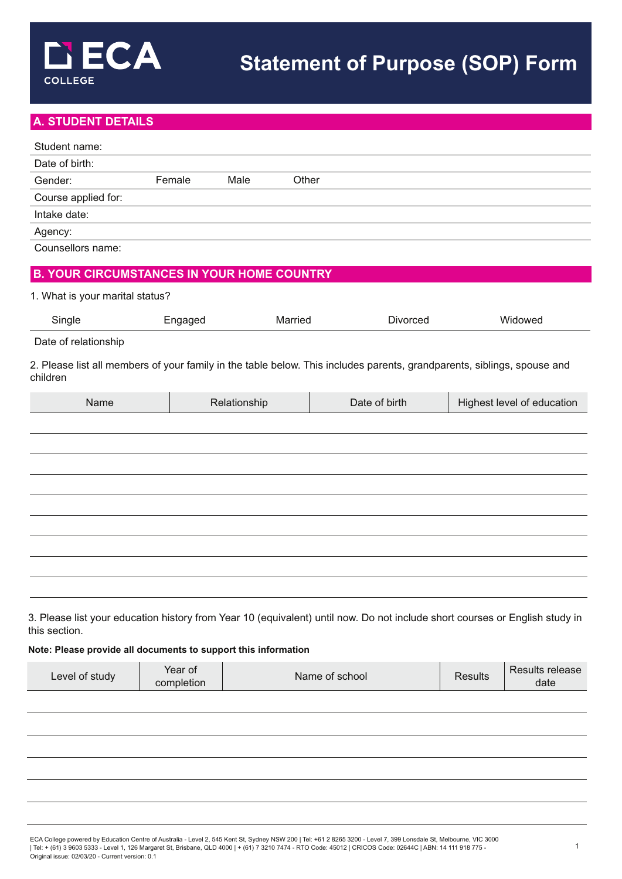# **A. STUDENT DETAILS**

| Student name:                                     |         |               |               |                                                                                                                         |
|---------------------------------------------------|---------|---------------|---------------|-------------------------------------------------------------------------------------------------------------------------|
| Date of birth:                                    |         |               |               |                                                                                                                         |
| Gender:                                           | Female  | Male<br>Other |               |                                                                                                                         |
| Course applied for:                               |         |               |               |                                                                                                                         |
| Intake date:                                      |         |               |               |                                                                                                                         |
| Agency:                                           |         |               |               |                                                                                                                         |
| Counsellors name:                                 |         |               |               |                                                                                                                         |
| <b>B. YOUR CIRCUMSTANCES IN YOUR HOME COUNTRY</b> |         |               |               |                                                                                                                         |
| 1. What is your marital status?                   |         |               |               |                                                                                                                         |
| Single                                            | Engaged | Married       | Divorced      | Widowed                                                                                                                 |
| Date of relationship                              |         |               |               |                                                                                                                         |
| children                                          |         |               |               | 2. Please list all members of your family in the table below. This includes parents, grandparents, siblings, spouse and |
| Name                                              |         | Relationship  | Date of birth | Highest level of education                                                                                              |
|                                                   |         |               |               |                                                                                                                         |
|                                                   |         |               |               |                                                                                                                         |
|                                                   |         |               |               |                                                                                                                         |
|                                                   |         |               |               |                                                                                                                         |
|                                                   |         |               |               |                                                                                                                         |
|                                                   |         |               |               |                                                                                                                         |
|                                                   |         |               |               |                                                                                                                         |
|                                                   |         |               |               |                                                                                                                         |
|                                                   |         |               |               |                                                                                                                         |
|                                                   |         |               |               |                                                                                                                         |
|                                                   |         |               |               |                                                                                                                         |

3. Please list your education history from Year 10 (equivalent) until now. Do not include short courses or English study in this section.

#### **Note: Please provide all documents to support this information**

| ∟evel of study | Year of<br>completion | Name of school | <b>Results</b> | Results release<br>date |
|----------------|-----------------------|----------------|----------------|-------------------------|
|                |                       |                |                |                         |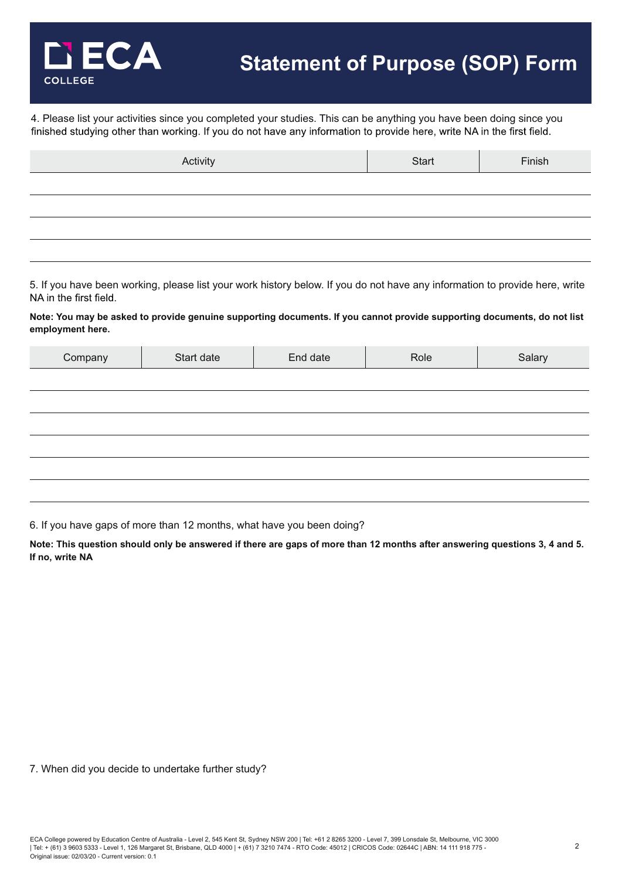

4. Please list your activities since you completed your studies. This can be anything you have been doing since you<br>finished studying other than working. If you do not have any information to provide here, write NA in the

| Activity | Start | Finish |
|----------|-------|--------|
|          |       |        |
|          |       |        |
|          |       |        |
|          |       |        |

5. If you have been working, please list your work history below. If you do not have any information to provide here, write NA in the first field.

**Note: You may be asked to provide genuine supporting documents. If you cannot provide supporting documents, do not list employment here.**

| Start date | End date | Role | Salary |
|------------|----------|------|--------|
|            |          |      |        |
|            |          |      |        |
|            |          |      |        |
|            |          |      |        |
|            |          |      |        |
|            |          |      |        |
|            |          |      |        |

6. If you have gaps of more than 12 months, what have you been doing?

**Note: This question should only be answered if there are gaps of more than 12 months after answering questions 3, 4 and 5. If no, write NA**

7. When did you decide to undertake further study?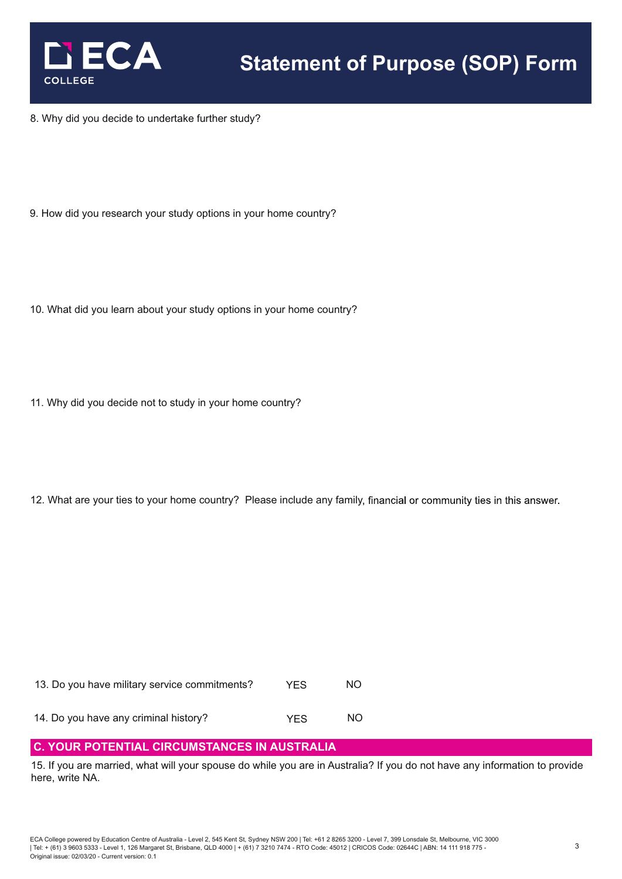

8. Why did you decide to undertake further study?

- 9. How did you research your study options in your home country?
- 10. What did you learn about your study options in your home country?
- 11. Why did you decide not to study in your home country?
- 12. What are your ties to your home country? Please include any family, financial or community ties in this answer.

| 13. Do you have military service commitments? | <b>YFS</b> | NO. |
|-----------------------------------------------|------------|-----|
|                                               |            |     |

14. Do you have any criminal history? The MO

# **C. YOUR POTENTIAL CIRCUMSTANCES IN AUSTRALIA**

15. If you are married, what will your spouse do while you are in Australia? If you do not have any information to provide here, write NA.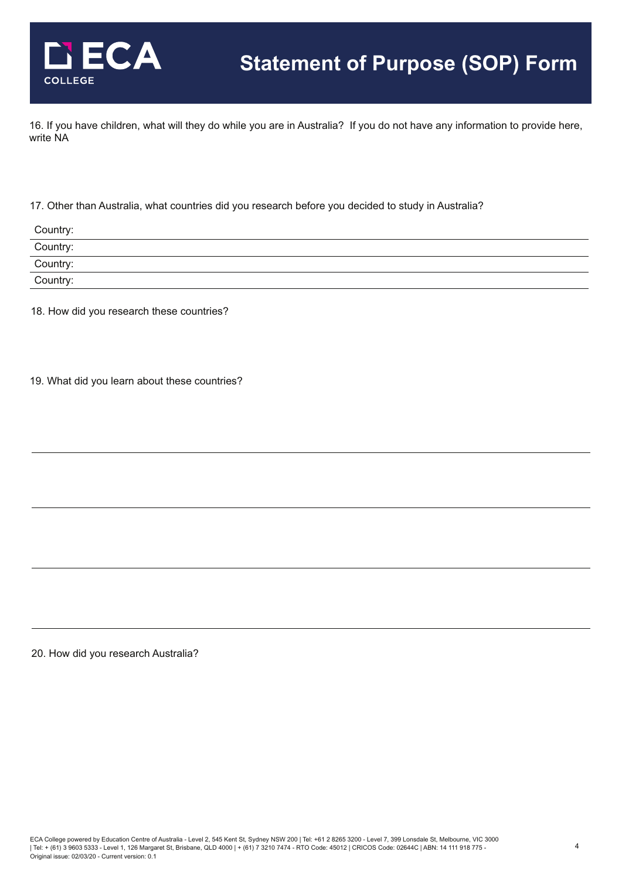

16. If you have children, what will they do while you are in Australia? If you do not have any information to provide here, write NA

#### 17. Other than Australia, what countries did you research before you decided to study in Australia?

| Country:                                                                                                                                                       |  |
|----------------------------------------------------------------------------------------------------------------------------------------------------------------|--|
| Country:                                                                                                                                                       |  |
| Country:                                                                                                                                                       |  |
| Country:<br>$\mathcal{L}_{\mathcal{A}}$ and $\mathcal{L}_{\mathcal{A}}$ are the set of the set of the set of the set of the set of $\mathcal{L}_{\mathcal{A}}$ |  |

18. How did you research these countries?

19. What did you learn about these countries?

20. How did you research Australia?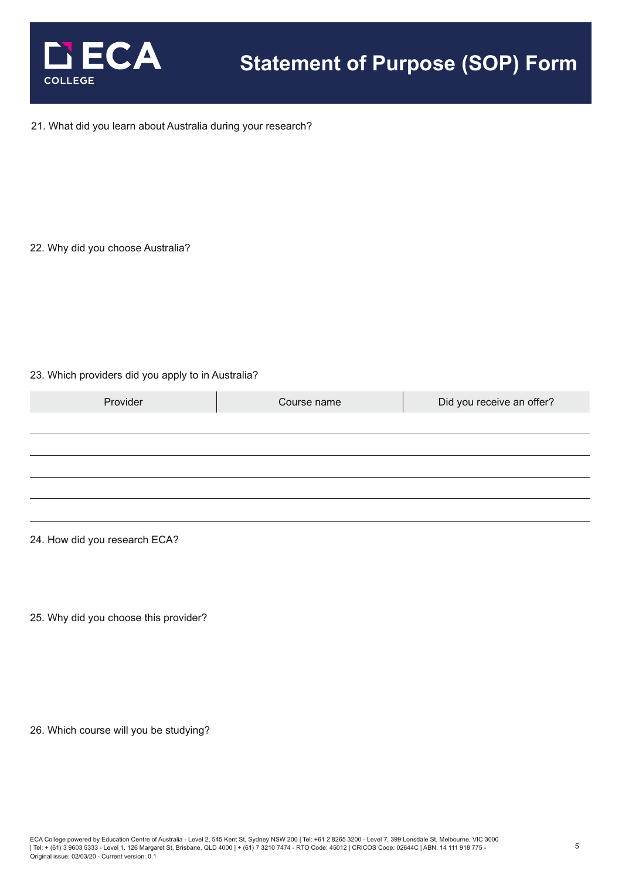

#### 21. What did you learn about Australia during your research?

22. Why did you choose Australia?

### 23. Which providers did you apply to in Australia?

| Provider | Course name | Did you receive an offer? |
|----------|-------------|---------------------------|
|          |             |                           |
|          |             |                           |
|          |             |                           |
|          |             |                           |
|          |             |                           |

24. How did you research ECA?

25. Why did you choose this provider?

26. Which course will you be studying?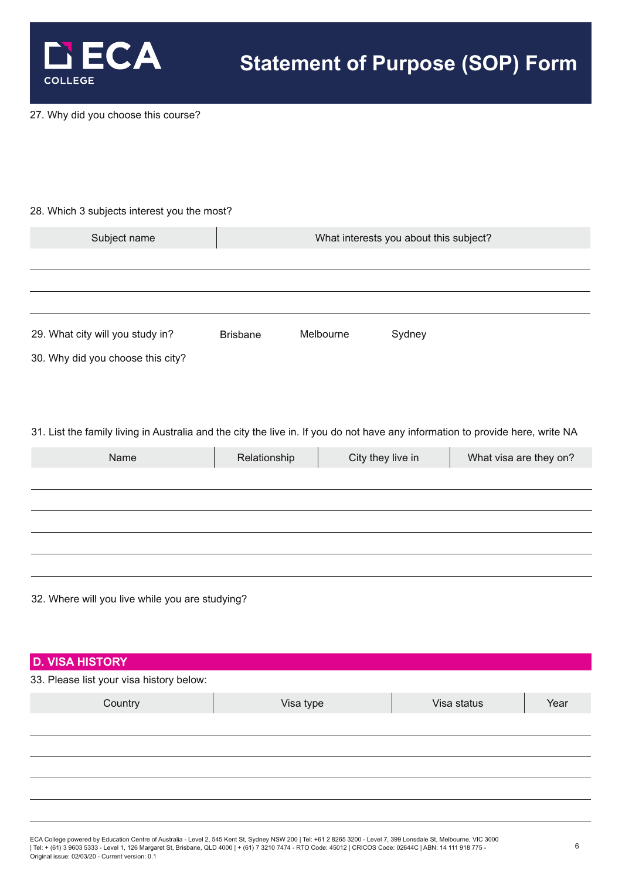

27. Why did you choose this course?

#### 28. Which 3 subjects interest you the most?

| Subject name                      |                 |           | What interests you about this subject? |  |
|-----------------------------------|-----------------|-----------|----------------------------------------|--|
|                                   |                 |           |                                        |  |
|                                   |                 |           |                                        |  |
|                                   |                 |           |                                        |  |
| 29. What city will you study in?  | <b>Brisbane</b> | Melbourne | Sydney                                 |  |
| 30. Why did you choose this city? |                 |           |                                        |  |

31. List the family living in Australia and the city the live in. If you do not have any information to provide here, write NA

| Name | Relationship | City they live in | What visa are they on? |
|------|--------------|-------------------|------------------------|
|      |              |                   |                        |
|      |              |                   |                        |
|      |              |                   |                        |
|      |              |                   |                        |
|      |              |                   |                        |

32. Where will you live while you are studying?

| <b>D. VISA HISTORY</b>                   |           |             |      |
|------------------------------------------|-----------|-------------|------|
| 33. Please list your visa history below: |           |             |      |
| Country                                  | Visa type | Visa status | Year |
|                                          |           |             |      |
|                                          |           |             |      |
|                                          |           |             |      |
|                                          |           |             |      |
|                                          |           |             |      |
|                                          |           |             |      |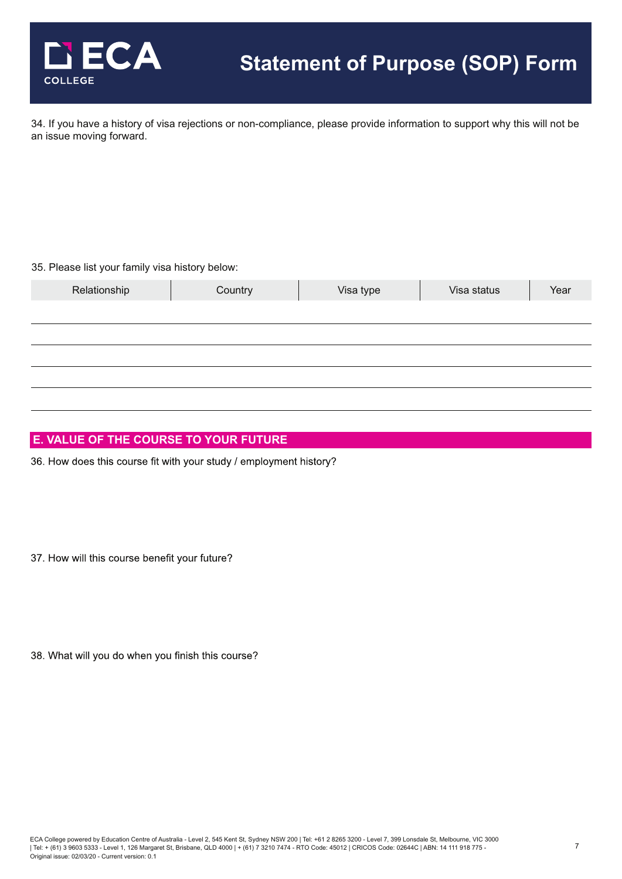

34. If you have a history of visa rejections or non-compliance, please provide information to support why this will not be an issue moving forward.

#### 35. Please list your family visa history below:

| Relationship | Country | Visa type | Visa status | Year |
|--------------|---------|-----------|-------------|------|
|              |         |           |             |      |
|              |         |           |             |      |
|              |         |           |             |      |
|              |         |           |             |      |
|              |         |           |             |      |

## **E. VALUE OF THE COURSE TO YOUR FUTURE**

36. How does this course fit with your study / employment history?

37. How will this course benefit your future?

38. What will you do when you finish this course?